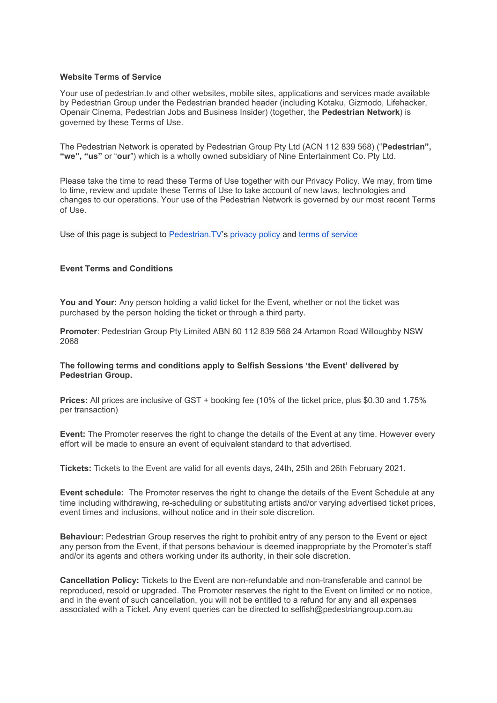## **Website Terms of Service**

Your use of pedestrian.tv and other websites, mobile sites, applications and services made available by Pedestrian Group under the Pedestrian branded header (including Kotaku, Gizmodo, Lifehacker, Openair Cinema, Pedestrian Jobs and Business Insider) (together, the **Pedestrian Network**) is governed by these Terms of Use.

The Pedestrian Network is operated by Pedestrian Group Pty Ltd (ACN 112 839 568) ("**Pedestrian", "we", "us"** or "**our**") which is a wholly owned subsidiary of Nine Entertainment Co. Pty Ltd.

Please take the time to read these Terms of Use together with our [Privacy](https://www.pedestrian.tv/privacy-policy/) Policy. We may, from time to time, review and update these Terms of Use to take account of new laws, technologies and changes to our operations. Your use of the Pedestrian Network is governed by our most recent Terms of Use.

Use of this page is subject to [Pedestrian.TV](http://pedestrian.tv/)'s [privacy](https://www.pedestrian.tv/privacy-policy/) policy and terms of [service](https://www.pedestrian.tv/website-terms-of-service/)

## **Event Terms and Conditions**

**You and Your:** Any person holding a valid ticket for the Event, whether or not the ticket was purchased by the person holding the ticket or through a third party.

**Promoter**: Pedestrian Group Pty Limited ABN 60 112 839 568 24 Artamon Road Willoughby NSW 2068

## **The following terms and conditions apply to Selfish Sessions 'the Event' delivered by Pedestrian Group.**

**Prices:** All prices are inclusive of GST + booking fee (10% of the ticket price, plus \$0.30 and 1.75% per transaction)

**Event:** The Promoter reserves the right to change the details of the Event at any time. However every effort will be made to ensure an event of equivalent standard to that advertised.

**Tickets:** Tickets to the Event are valid for all events days, 24th, 25th and 26th February 2021.

**Event schedule:** The Promoter reserves the right to change the details of the Event Schedule at any time including withdrawing, re-scheduling or substituting artists and/or varying advertised ticket prices, event times and inclusions, without notice and in their sole discretion.

**Behaviour:** Pedestrian Group reserves the right to prohibit entry of any person to the Event or eject any person from the Event, if that persons behaviour is deemed inappropriate by the Promoter's staff and/or its agents and others working under its authority, in their sole discretion.

**Cancellation Policy:** Tickets to the Event are non-refundable and non-transferable and cannot be reproduced, resold or upgraded. The Promoter reserves the right to the Event on limited or no notice, and in the event of such cancellation, you will not be entitled to a refund for any and all expenses associated with a Ticket. Any event queries can be directed to selfish@pedestriangroup.com.au